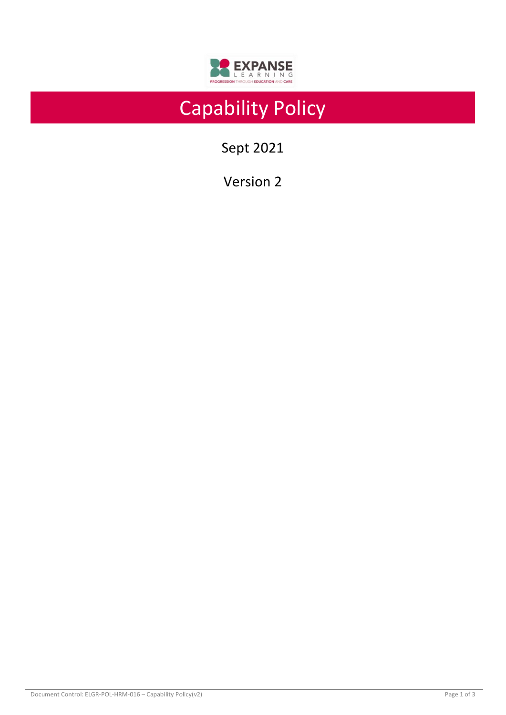

# Capability Policy

Sept 2021

Version 2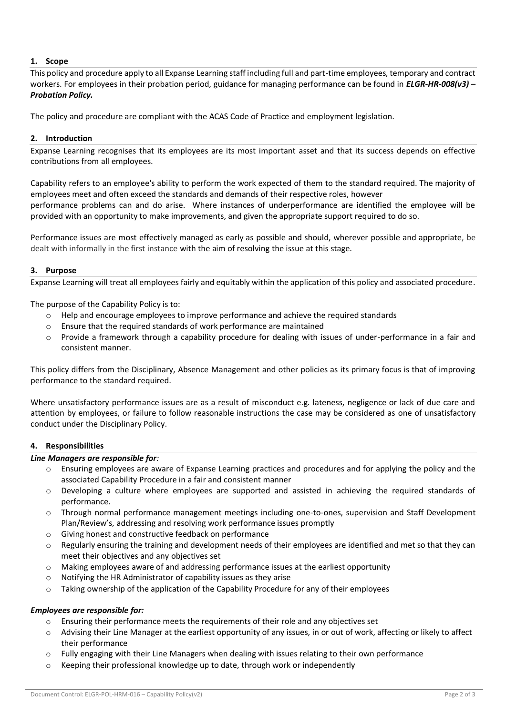# **1. Scope**

This policy and procedure apply to all Expanse Learning staff including full and part-time employees, temporary and contract workers. For employees in their probation period, guidance for managing performance can be found in *ELGR-HR-008(v3) – Probation Policy.*

The policy and procedure are compliant with the ACAS Code of Practice and employment legislation.

# **2. Introduction**

Expanse Learning recognises that its employees are its most important asset and that its success depends on effective contributions from all employees.

Capability refers to an employee's ability to perform the work expected of them to the standard required. The majority of employees meet and often exceed the standards and demands of their respective roles, however performance problems can and do arise. Where instances of underperformance are identified the employee will be provided with an opportunity to make improvements, and given the appropriate support required to do so.

Performance issues are most effectively managed as early as possible and should, wherever possible and appropriate, be dealt with informally in the first instance with the aim of resolving the issue at this stage.

# **3. Purpose**

Expanse Learning will treat all employees fairly and equitably within the application of this policy and associated procedure.

The purpose of the Capability Policy is to:

- o Help and encourage employees to improve performance and achieve the required standards
- o Ensure that the required standards of work performance are maintained
- o Provide a framework through a capability procedure for dealing with issues of under-performance in a fair and consistent manner.

This policy differs from the Disciplinary, Absence Management and other policies as its primary focus is that of improving performance to the standard required.

Where unsatisfactory performance issues are as a result of misconduct e.g. lateness, negligence or lack of due care and attention by employees, or failure to follow reasonable instructions the case may be considered as one of unsatisfactory conduct under the Disciplinary Policy.

# **4. Responsibilities**

#### *Line Managers are responsible for:*

- o Ensuring employees are aware of Expanse Learning practices and procedures and for applying the policy and the associated Capability Procedure in a fair and consistent manner
- o Developing a culture where employees are supported and assisted in achieving the required standards of performance.
- o Through normal performance management meetings including one-to-ones, supervision and Staff Development Plan/Review's, addressing and resolving work performance issues promptly
- o Giving honest and constructive feedback on performance
- $\circ$  Regularly ensuring the training and development needs of their employees are identified and met so that they can meet their objectives and any objectives set
- $\circ$  Making employees aware of and addressing performance issues at the earliest opportunity
- o Notifying the HR Administrator of capability issues as they arise
- o Taking ownership of the application of the Capability Procedure for any of their employees

# *Employees are responsible for:*

- $\circ$  Ensuring their performance meets the requirements of their role and any objectives set
- o Advising their Line Manager at the earliest opportunity of any issues, in or out of work, affecting or likely to affect their performance
- $\circ$  Fully engaging with their Line Managers when dealing with issues relating to their own performance
- o Keeping their professional knowledge up to date, through work or independently